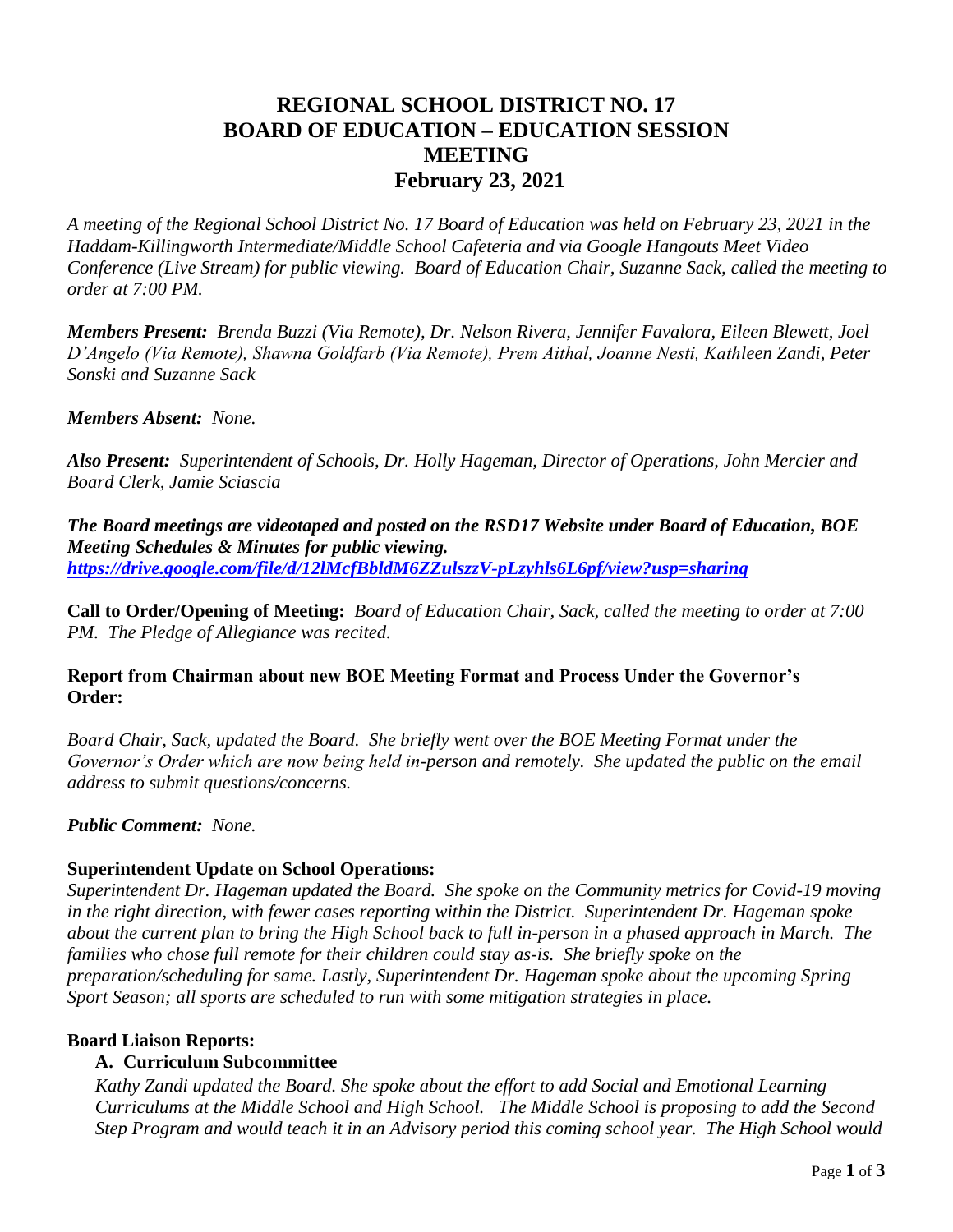# **REGIONAL SCHOOL DISTRICT NO. 17 BOARD OF EDUCATION – EDUCATION SESSION MEETING February 23, 2021**

*A meeting of the Regional School District No. 17 Board of Education was held on February 23, 2021 in the Haddam-Killingworth Intermediate/Middle School Cafeteria and via Google Hangouts Meet Video Conference (Live Stream) for public viewing. Board of Education Chair, Suzanne Sack, called the meeting to order at 7:00 PM.*

*Members Present: Brenda Buzzi (Via Remote), Dr. Nelson Rivera, Jennifer Favalora, Eileen Blewett, Joel D'Angelo (Via Remote), Shawna Goldfarb (Via Remote), Prem Aithal, Joanne Nesti, Kathleen Zandi, Peter Sonski and Suzanne Sack* 

*Members Absent: None.*

*Also Present: Superintendent of Schools, Dr. Holly Hageman, Director of Operations, John Mercier and Board Clerk, Jamie Sciascia* 

*The Board meetings are videotaped and posted on the RSD17 Website under Board of Education, BOE Meeting Schedules & Minutes for public viewing. <https://drive.google.com/file/d/12lMcfBbldM6ZZulszzV-pLzyhls6L6pf/view?usp=sharing>*

**Call to Order/Opening of Meeting:** *Board of Education Chair, Sack, called the meeting to order at 7:00 PM. The Pledge of Allegiance was recited.*

#### **Report from Chairman about new BOE Meeting Format and Process Under the Governor's Order:**

*Board Chair, Sack, updated the Board. She briefly went over the BOE Meeting Format under the Governor's Order which are now being held in-person and remotely. She updated the public on the email address to submit questions/concerns.*

*Public Comment: None.*

## **Superintendent Update on School Operations:**

*Superintendent Dr. Hageman updated the Board. She spoke on the Community metrics for Covid-19 moving in the right direction, with fewer cases reporting within the District. Superintendent Dr. Hageman spoke about the current plan to bring the High School back to full in-person in a phased approach in March. The families who chose full remote for their children could stay as-is. She briefly spoke on the preparation/scheduling for same. Lastly, Superintendent Dr. Hageman spoke about the upcoming Spring Sport Season; all sports are scheduled to run with some mitigation strategies in place.*

#### **Board Liaison Reports:**

## **A. Curriculum Subcommittee**

*Kathy Zandi updated the Board. She spoke about the effort to add Social and Emotional Learning Curriculums at the Middle School and High School. The Middle School is proposing to add the Second Step Program and would teach it in an Advisory period this coming school year. The High School would*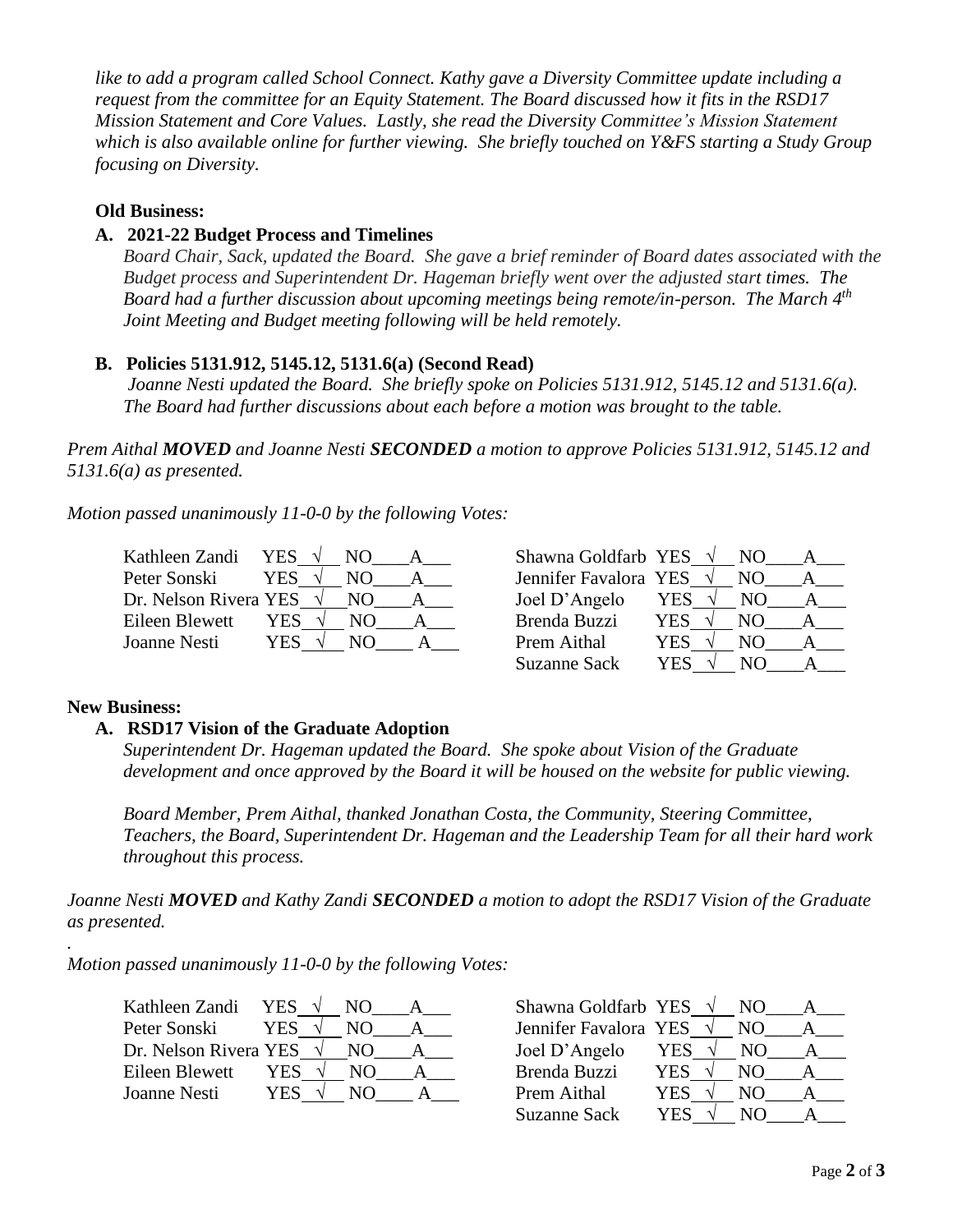*like to add a program called School Connect. Kathy gave a Diversity Committee update including a request from the committee for an Equity Statement. The Board discussed how it fits in the RSD17 Mission Statement and Core Values. Lastly, she read the Diversity Committee's Mission Statement which is also available online for further viewing. She briefly touched on Y&FS starting a Study Group focusing on Diversity.*

#### **Old Business:**

# **A. 2021-22 Budget Process and Timelines**

*Board Chair, Sack, updated the Board. She gave a brief reminder of Board dates associated with the Budget process and Superintendent Dr. Hageman briefly went over the adjusted start times. The Board had a further discussion about upcoming meetings being remote/in-person. The March 4th Joint Meeting and Budget meeting following will be held remotely.*

## **B. Policies 5131.912, 5145.12, 5131.6(a) (Second Read)**

 *Joanne Nesti updated the Board. She briefly spoke on Policies 5131.912, 5145.12 and 5131.6(a). The Board had further discussions about each before a motion was brought to the table.*

*Prem Aithal MOVED and Joanne Nesti SECONDED a motion to approve Policies 5131.912, 5145.12 and 5131.6(a) as presented.*

*Motion passed unanimously 11-0-0 by the following Votes:*

| Kathleen Zandi                  | YES.  | NO. | Shawna Goldfarb YES $\sqrt{}$ |     | NO. |  |
|---------------------------------|-------|-----|-------------------------------|-----|-----|--|
| Peter Sonski                    | YES   | NΟ  | Jennifer Favalora YES         |     | NO. |  |
| Dr. Nelson Rivera YES $\sqrt{}$ |       | NO. | Joel D'Angelo                 | YES | NO. |  |
| Eileen Blewett                  | YES . | NO. | Brenda Buzzi                  | YES | N() |  |
| Joanne Nesti                    | YES   | NO) | Prem Aithal                   | YES | NO) |  |
|                                 |       |     |                               |     |     |  |

| Shawna Goldfarb YES   |            | NО  |  |
|-----------------------|------------|-----|--|
| Jennifer Favalora YES |            | NΟ  |  |
| Joel D'Angelo         | YES        | NO. |  |
| <b>Brenda Buzzi</b>   | <b>YES</b> | NО  |  |
| Prem Aithal           | <b>YES</b> | NО  |  |
| <b>Suzanne Sack</b>   | YES        |     |  |

## **New Business:**

*.*

## **A. RSD17 Vision of the Graduate Adoption**

*Superintendent Dr. Hageman updated the Board. She spoke about Vision of the Graduate development and once approved by the Board it will be housed on the website for public viewing.*

*Board Member, Prem Aithal, thanked Jonathan Costa, the Community, Steering Committee, Teachers, the Board, Superintendent Dr. Hageman and the Leadership Team for all their hard work throughout this process.*

*Joanne Nesti MOVED and Kathy Zandi SECONDED a motion to adopt the RSD17 Vision of the Graduate as presented.*

*Motion passed unanimously 11-0-0 by the following Votes:*

| Kathleen Zandi                  | YES. | NO. | Shawna Goldfarb YES   |            | NO. |  |
|---------------------------------|------|-----|-----------------------|------------|-----|--|
| Peter Sonski                    | YES  | NO  | Jennifer Favalora YES |            | NO. |  |
| Dr. Nelson Rivera YES $\sqrt{}$ |      | NO. | Joel D'Angelo         | <b>YES</b> | NO. |  |
| Eileen Blewett                  | YES  | N() | Brenda Buzzi          | YES.       | N() |  |
| Joanne Nesti                    | YES. | NO. | Prem Aithal           | YES        | NO  |  |

| Shawna Goldfarb YES   |            |    |  |
|-----------------------|------------|----|--|
| Jennifer Favalora YES |            | NО |  |
| Joel D'Angelo         | YES        | NО |  |
| Brenda Buzzi          | <b>YES</b> | NΟ |  |
| Prem Aithal           | YES        | NΩ |  |
| <b>Suzanne Sack</b>   | Y H.       |    |  |